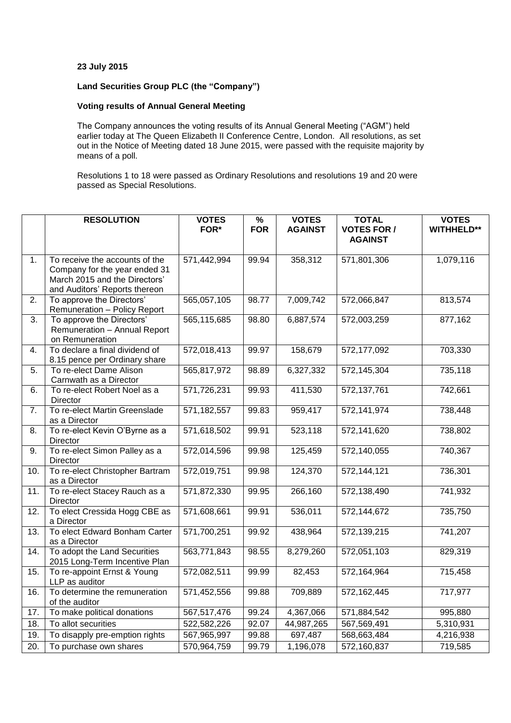## **23 July 2015**

## **Land Securities Group PLC (the "Company")**

## **Voting results of Annual General Meeting**

The Company announces the voting results of its Annual General Meeting ("AGM") held earlier today at The Queen Elizabeth II Conference Centre, London. All resolutions, as set out in the Notice of Meeting dated 18 June 2015, were passed with the requisite majority by means of a poll.

Resolutions 1 to 18 were passed as Ordinary Resolutions and resolutions 19 and 20 were passed as Special Resolutions.

|                   | <b>RESOLUTION</b>                                                                                                                 | <b>VOTES</b><br>FOR* | $\frac{9}{6}$<br><b>FOR</b> | <b>VOTES</b><br><b>AGAINST</b> | <b>TOTAL</b><br><b>VOTES FOR /</b> | <b>VOTES</b><br><b>WITHHELD**</b> |
|-------------------|-----------------------------------------------------------------------------------------------------------------------------------|----------------------|-----------------------------|--------------------------------|------------------------------------|-----------------------------------|
|                   |                                                                                                                                   |                      |                             |                                | <b>AGAINST</b>                     |                                   |
| 1.                | To receive the accounts of the<br>Company for the year ended 31<br>March 2015 and the Directors'<br>and Auditors' Reports thereon | 571,442,994          | 99.94                       | 358,312                        | 571,801,306                        | 1,079,116                         |
| 2.                | To approve the Directors'<br>Remuneration - Policy Report                                                                         | 565,057,105          | 98.77                       | 7,009,742                      | 572,066,847                        | 813,574                           |
| 3.                | To approve the Directors'<br>Remuneration - Annual Report<br>on Remuneration                                                      | 565,115,685          | 98.80                       | 6,887,574                      | 572,003,259                        | 877,162                           |
| 4.                | To declare a final dividend of<br>8.15 pence per Ordinary share                                                                   | 572,018,413          | 99.97                       | 158,679                        | 572,177,092                        | 703,330                           |
| 5.                | To re-elect Dame Alison<br>Carnwath as a Director                                                                                 | 565,817,972          | 98.89                       | 6,327,332                      | 572,145,304                        | 735,118                           |
| 6.                | To re-elect Robert Noel as a<br>Director                                                                                          | 571,726,231          | 99.93                       | 411,530                        | 572,137,761                        | 742,661                           |
| 7.                | To re-elect Martin Greenslade<br>as a Director                                                                                    | 571,182,557          | 99.83                       | 959,417                        | 572,141,974                        | 738,448                           |
| 8.                | To re-elect Kevin O'Byrne as a<br>Director                                                                                        | 571,618,502          | 99.91                       | 523,118                        | 572,141,620                        | 738,802                           |
| 9.                | To re-elect Simon Palley as a<br>Director                                                                                         | 572,014,596          | 99.98                       | 125,459                        | 572,140,055                        | 740,367                           |
| 10.               | To re-elect Christopher Bartram<br>as a Director                                                                                  | 572,019,751          | 99.98                       | 124,370                        | 572,144,121                        | 736,301                           |
| 11.               | To re-elect Stacey Rauch as a<br>Director                                                                                         | 571,872,330          | 99.95                       | 266,160                        | 572,138,490                        | 741,932                           |
| 12.               | To elect Cressida Hogg CBE as<br>a Director                                                                                       | 571,608,661          | 99.91                       | 536,011                        | 572,144,672                        | 735,750                           |
| 13.               | To elect Edward Bonham Carter<br>as a Director                                                                                    | 571,700,251          | 99.92                       | 438,964                        | 572,139,215                        | 741,207                           |
| 14.               | To adopt the Land Securities<br>2015 Long-Term Incentive Plan                                                                     | 563,771,843          | 98.55                       | 8,279,260                      | 572,051,103                        | 829,319                           |
| 15.               | To re-appoint Ernst & Young<br>LLP as auditor                                                                                     | 572,082,511          | 99.99                       | 82,453                         | 572,164,964                        | 715,458                           |
| 16.               | To determine the remuneration<br>of the auditor                                                                                   | 571,452,556          | 99.88                       | 709,889                        | 572,162,445                        | 717,977                           |
| 17.               | To make political donations                                                                                                       | 567,517,476          | 99.24                       | 4,367,066                      | 571,884,542                        | 995,880                           |
| 18.               | To allot securities                                                                                                               | 522,582,226          | 92.07                       | 44,987,265                     | 567,569,491                        | 5,310,931                         |
| 19.               | To disapply pre-emption rights                                                                                                    | 567,965,997          | 99.88                       | 697,487                        | 568,663,484                        | 4,216,938                         |
| $\overline{20}$ . | To purchase own shares                                                                                                            | 570,964,759          | 99.79                       | 1,196,078                      | 572,160,837                        | 719,585                           |